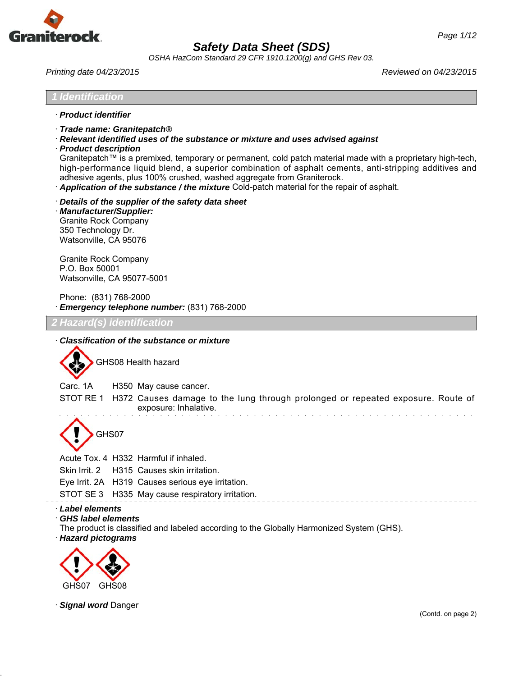

*OSHA HazCom Standard 29 CFR 1910.1200(g) and GHS Rev 03.*

*Printing date 04/23/2015 Reviewed on 04/23/2015*

#### *1 Identification*

- · *Product identifier*
- · *Trade name: Granitepatch®*
- · *Relevant identified uses of the substance or mixture and uses advised against*
- · *Product description*

Granitepatch™ is a premixed, temporary or permanent, cold patch material made with a proprietary high-tech, high-performance liquid blend, a superior combination of asphalt cements, anti-stripping additives and adhesive agents, plus 100% crushed, washed aggregate from Graniterock.

- · *Application of the substance / the mixture* Cold-patch material for the repair of asphalt.
- · *Details of the supplier of the safety data sheet*

· *Manufacturer/Supplier:* Granite Rock Company 350 Technology Dr. Watsonville, CA 95076

Granite Rock Company P.O. Box 50001 Watsonville, CA 95077-5001

Phone: (831) 768-2000 · *Emergency telephone number:* (831) 768-2000

*2 Hazard(s) identification*

### · *Classification of the substance or mixture*

GHS08 Health hazard

Carc. 1A H350 May cause cancer.

STOT RE 1 H372 Causes damage to the lung through prolonged or repeated exposure. Route of exposure: Inhalative. والمتحدث والمتحدث والمتحدث والمتحدث والمتحدث والمتحدث والمتحدث والمتحدث

GHS07

Acute Tox. 4 H332 Harmful if inhaled.

Skin Irrit. 2 H315 Causes skin irritation.

Eye Irrit. 2A H319 Causes serious eye irritation.

STOT SE 3 H335 May cause respiratory irritation.

- · *Label elements*
- · *GHS label elements*

The product is classified and labeled according to the Globally Harmonized System (GHS).

· *Hazard pictograms*



· *Signal word* Danger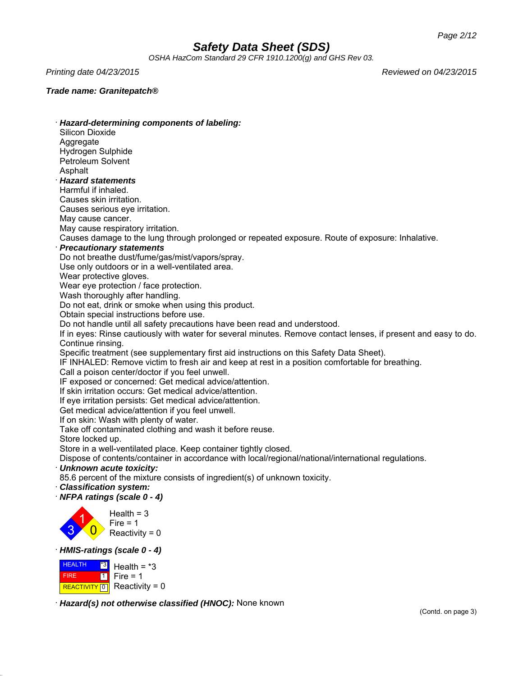*OSHA HazCom Standard 29 CFR 1910.1200(g) and GHS Rev 03.*

*Printing date 04/23/2015 Reviewed on 04/23/2015*

### *Trade name: Granitepatch®*

· *Hazard-determining components of labeling:* Silicon Dioxide **Aggregate** Hydrogen Sulphide Petroleum Solvent **Asphalt** · *Hazard statements* Harmful if inhaled. Causes skin irritation. Causes serious eye irritation. May cause cancer. May cause respiratory irritation. Causes damage to the lung through prolonged or repeated exposure. Route of exposure: Inhalative. · *Precautionary statements* Do not breathe dust/fume/gas/mist/vapors/spray. Use only outdoors or in a well-ventilated area. Wear protective gloves. Wear eye protection / face protection. Wash thoroughly after handling. Do not eat, drink or smoke when using this product. Obtain special instructions before use. Do not handle until all safety precautions have been read and understood. If in eyes: Rinse cautiously with water for several minutes. Remove contact lenses, if present and easy to do. Continue rinsing. Specific treatment (see supplementary first aid instructions on this Safety Data Sheet). IF INHALED: Remove victim to fresh air and keep at rest in a position comfortable for breathing. Call a poison center/doctor if you feel unwell. IF exposed or concerned: Get medical advice/attention. If skin irritation occurs: Get medical advice/attention. If eye irritation persists: Get medical advice/attention. Get medical advice/attention if you feel unwell. If on skin: Wash with plenty of water. Take off contaminated clothing and wash it before reuse. Store locked up. Store in a well-ventilated place. Keep container tightly closed. Dispose of contents/container in accordance with local/regional/national/international regulations. · *Unknown acute toxicity:* 85.6 percent of the mixture consists of ingredient(s) of unknown toxicity. · *Classification system:* · *NFPA ratings (scale 0 - 4)* 3 1  $\overline{\mathbf{0}}$ Health  $=$  3  $Fire = 1$ Reactivity =  $0$ · *HMIS-ratings (scale 0 - 4)* **HEALTH** \*3 Health =  $*3$ 

· *Hazard(s) not otherwise classified (HNOC):* None known

FIRE

REACTIVITY  $\boxed{0}$  Reactivity = 0

Fire  $= 1$ 

1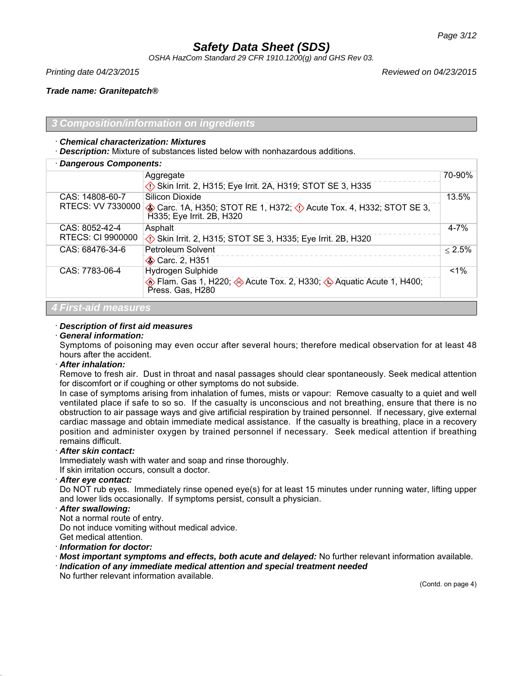*OSHA HazCom Standard 29 CFR 1910.1200(g) and GHS Rev 03.*

*Printing date 04/23/2015 Reviewed on 04/23/2015*

*Trade name: Granitepatch®*

### *3 Composition/information on ingredients*

### · *Chemical characterization: Mixtures*

· *Description:* Mixture of substances listed below with nonhazardous additions.

| · Dangerous Components:  |                                                                                                         |           |
|--------------------------|---------------------------------------------------------------------------------------------------------|-----------|
|                          | Aggregate                                                                                               | 70-90%    |
|                          | Skin Irrit. 2, H315; Eye Irrit. 2A, H319; STOT SE 3, H335                                               |           |
| CAS: 14808-60-7          | Silicon Dioxide                                                                                         | 13.5%     |
| RTECS: VV 7330000        | Carc. 1A, H350; STOT RE 1, H372; O Acute Tox. 4, H332; STOT SE 3,<br>H335; Eye Irrit. 2B, H320          |           |
| CAS: 8052-42-4           | Asphalt                                                                                                 | $4 - 7%$  |
| <b>RTECS: CI 9900000</b> | Skin Irrit. 2, H315; STOT SE 3, H335; Eye Irrit. 2B, H320                                               |           |
| CAS: 68476-34-6          | Petroleum Solvent                                                                                       | $< 2.5\%$ |
|                          | Carc. 2, H351                                                                                           |           |
| CAS: 7783-06-4           | Hydrogen Sulphide                                                                                       | $< 1\%$   |
|                          | <b>Elam.</b> Gas 1, H220; <b>Acute Tox.</b> 2, H330; <b>A</b> quatic Acute 1, H400;<br>Press. Gas, H280 |           |
|                          |                                                                                                         |           |

## *4 First-aid measures*

## · *Description of first aid measures*

### · *General information:*

Symptoms of poisoning may even occur after several hours; therefore medical observation for at least 48 hours after the accident.

## · *After inhalation:*

Remove to fresh air. Dust in throat and nasal passages should clear spontaneously. Seek medical attention for discomfort or if coughing or other symptoms do not subside.

In case of symptoms arising from inhalation of fumes, mists or vapour: Remove casualty to a quiet and well ventilated place if safe to so so. If the casualty is unconscious and not breathing, ensure that there is no obstruction to air passage ways and give artificial respiration by trained personnel. If necessary, give external cardiac massage and obtain immediate medical assistance. If the casualty is breathing, place in a recovery position and administer oxygen by trained personnel if necessary. Seek medical attention if breathing remains difficult.

### · *After skin contact:*

Immediately wash with water and soap and rinse thoroughly.

If skin irritation occurs, consult a doctor.

### · *After eye contact:*

Do NOT rub eyes. Immediately rinse opened eye(s) for at least 15 minutes under running water, lifting upper and lower lids occasionally. If symptoms persist, consult a physician.

## · *After swallowing:*

Not a normal route of entry.

Do not induce vomiting without medical advice.

Get medical attention.

· *Information for doctor:*

- · *Most important symptoms and effects, both acute and delayed:* No further relevant information available.
- · *Indication of any immediate medical attention and special treatment needed* No further relevant information available.

(Contd. on page 4)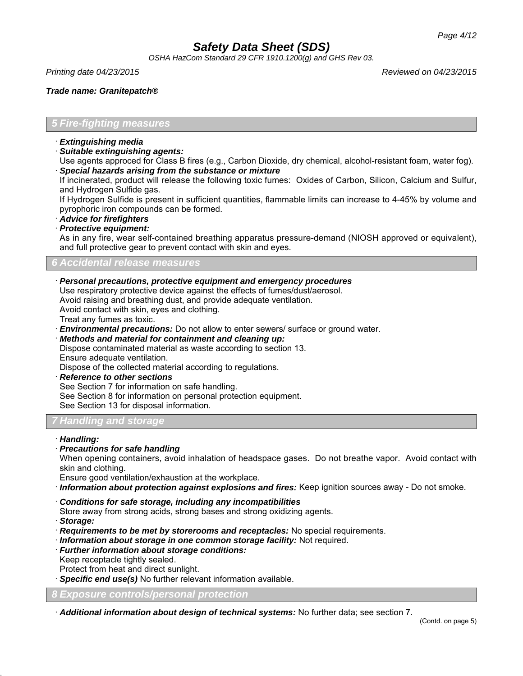*OSHA HazCom Standard 29 CFR 1910.1200(g) and GHS Rev 03.*

*Printing date 04/23/2015 Reviewed on 04/23/2015*

*Trade name: Granitepatch®*

## *5 Fire-fighting measures*

- · *Extinguishing media*
- · *Suitable extinguishing agents:*

Use agents approced for Class B fires (e.g., Carbon Dioxide, dry chemical, alcohol-resistant foam, water fog). · *Special hazards arising from the substance or mixture*

If incinerated, product will release the following toxic fumes: Oxides of Carbon, Silicon, Calcium and Sulfur, and Hydrogen Sulfide gas.

If Hydrogen Sulfide is present in sufficient quantities, flammable limits can increase to 4-45% by volume and pyrophoric iron compounds can be formed.

· *Advice for firefighters*

· *Protective equipment:*

As in any fire, wear self-contained breathing apparatus pressure-demand (NIOSH approved or equivalent), and full protective gear to prevent contact with skin and eyes.

## *6 Accidental release measures*

· *Personal precautions, protective equipment and emergency procedures*

Use respiratory protective device against the effects of fumes/dust/aerosol.

Avoid raising and breathing dust, and provide adequate ventilation.

Avoid contact with skin, eyes and clothing.

Treat any fumes as toxic.

· *Environmental precautions:* Do not allow to enter sewers/ surface or ground water.

· *Methods and material for containment and cleaning up:* Dispose contaminated material as waste according to section 13. Ensure adequate ventilation. Dispose of the collected material according to regulations.

· *Reference to other sections*

See Section 7 for information on safe handling.

See Section 8 for information on personal protection equipment.

See Section 13 for disposal information.

## *7 Handling and storage*

### · *Handling:*

· *Precautions for safe handling*

When opening containers, avoid inhalation of headspace gases. Do not breathe vapor. Avoid contact with skin and clothing.

Ensure good ventilation/exhaustion at the workplace.

- · *Information about protection against explosions and fires:* Keep ignition sources away Do not smoke.
- · *Conditions for safe storage, including any incompatibilities*

Store away from strong acids, strong bases and strong oxidizing agents.

- · *Storage:*
- · *Requirements to be met by storerooms and receptacles:* No special requirements.
- · *Information about storage in one common storage facility:* Not required.
- · *Further information about storage conditions:* Keep receptacle tightly sealed. Protect from heat and direct sunlight.
- · *Specific end use(s)* No further relevant information available.

*8 Exposure controls/personal protection*

· *Additional information about design of technical systems:* No further data; see section 7.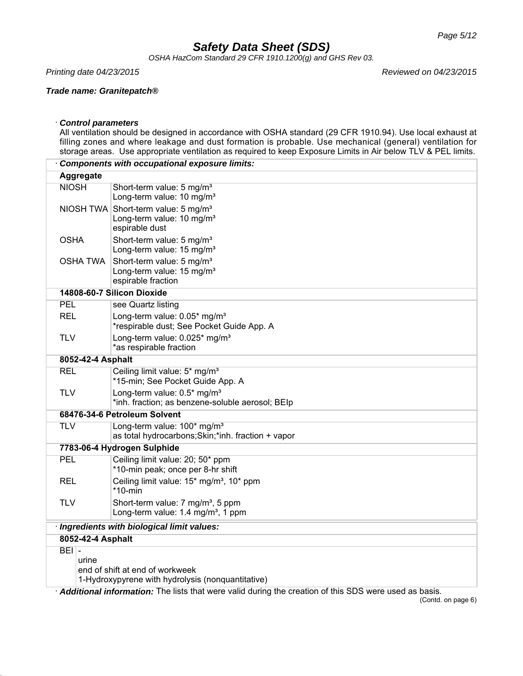*OSHA HazCom Standard 29 CFR 1910.1200(g) and GHS Rev 03.*

*Printing date 04/23/2015 Reviewed on 04/23/2015*

### *Trade name: Granitepatch®*

### · *Control parameters*

All ventilation should be designed in accordance with OSHA standard (29 CFR 1910.94). Use local exhaust at filling zones and where leakage and dust formation is probable. Use mechanical (general) ventilation for storage areas. Use appropriate ventilation as required to keep Exposure Limits in Air below TLV & PEL limits.

|                                             |                             | <b>Components with occupational exposure limits:</b>                                                       |  |
|---------------------------------------------|-----------------------------|------------------------------------------------------------------------------------------------------------|--|
|                                             | Aggregate                   |                                                                                                            |  |
| <b>NIOSH</b>                                |                             | Short-term value: 5 mg/m <sup>3</sup><br>Long-term value: 10 mg/m <sup>3</sup>                             |  |
|                                             |                             | NIOSH TWA Short-term value: 5 mg/m <sup>3</sup><br>Long-term value: 10 mg/m <sup>3</sup><br>espirable dust |  |
| <b>OSHA</b>                                 |                             | Short-term value: 5 mg/m <sup>3</sup><br>Long-term value: 15 mg/m <sup>3</sup>                             |  |
|                                             | <b>OSHA TWA</b>             | Short-term value: 5 mg/m <sup>3</sup><br>Long-term value: 15 mg/m <sup>3</sup><br>espirable fraction       |  |
|                                             |                             | 14808-60-7 Silicon Dioxide                                                                                 |  |
| <b>PEL</b>                                  |                             | see Quartz listing                                                                                         |  |
| <b>REL</b>                                  |                             | Long-term value: 0.05* mg/m <sup>3</sup><br>*respirable dust; See Pocket Guide App. A                      |  |
| <b>TLV</b>                                  |                             | Long-term value: 0.025* mg/m <sup>3</sup><br>*as respirable fraction                                       |  |
|                                             | 8052-42-4 Asphalt           |                                                                                                            |  |
| REL                                         |                             | Ceiling limit value: 5* mg/m <sup>3</sup><br>*15-min; See Pocket Guide App. A                              |  |
| <b>TLV</b>                                  |                             | Long-term value: 0.5* mg/m <sup>3</sup><br>*inh. fraction; as benzene-soluble aerosol; BEIp                |  |
|                                             |                             | 68476-34-6 Petroleum Solvent                                                                               |  |
| <b>TLV</b>                                  |                             | Long-term value: 100* mg/m <sup>3</sup><br>as total hydrocarbons; Skin;*inh. fraction + vapor              |  |
|                                             | 7783-06-4 Hydrogen Sulphide |                                                                                                            |  |
| <b>PEL</b>                                  |                             | Ceiling limit value: 20; 50* ppm<br>*10-min peak; once per 8-hr shift                                      |  |
| <b>REL</b>                                  |                             | Ceiling limit value: 15* mg/m <sup>3</sup> , 10* ppm<br>$*10$ -min                                         |  |
| <b>TLV</b>                                  |                             | Short-term value: 7 mg/m <sup>3</sup> , 5 ppm<br>Long-term value: 1.4 mg/m <sup>3</sup> , 1 ppm            |  |
| · Ingredients with biological limit values: |                             |                                                                                                            |  |
|                                             | 8052-42-4 Asphalt           |                                                                                                            |  |
| $BEI -$                                     |                             |                                                                                                            |  |
|                                             | urine                       |                                                                                                            |  |
|                                             |                             | end of shift at end of workweek<br>1-Hydroxypyrene with hydrolysis (nonquantitative)                       |  |
|                                             |                             |                                                                                                            |  |

· *Additional information:* The lists that were valid during the creation of this SDS were used as basis.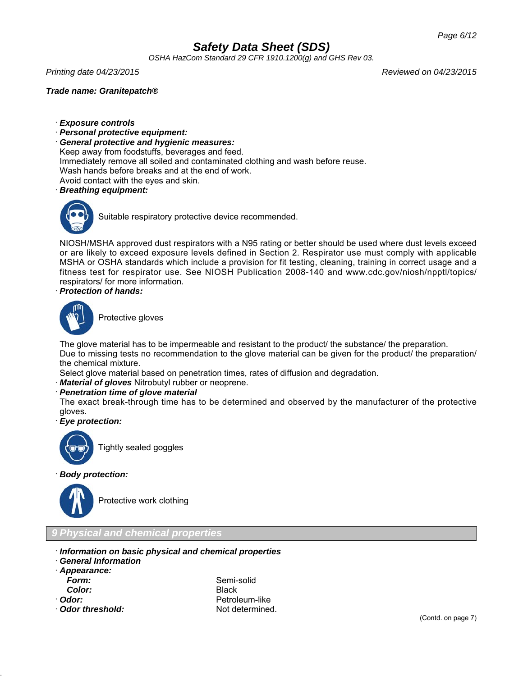*OSHA HazCom Standard 29 CFR 1910.1200(g) and GHS Rev 03.*

*Printing date 04/23/2015 Reviewed on 04/23/2015*

*Trade name: Granitepatch®*

- · *Exposure controls*
- · *Personal protective equipment:*
- · *General protective and hygienic measures:*
- Keep away from foodstuffs, beverages and feed.

Immediately remove all soiled and contaminated clothing and wash before reuse.

Wash hands before breaks and at the end of work.

Avoid contact with the eyes and skin.

· *Breathing equipment:*



Suitable respiratory protective device recommended.

NIOSH/MSHA approved dust respirators with a N95 rating or better should be used where dust levels exceed or are likely to exceed exposure levels defined in Section 2. Respirator use must comply with applicable MSHA or OSHA standards which include a provision for fit testing, cleaning, training in correct usage and a fitness test for respirator use. See NIOSH Publication 2008-140 and www.cdc.gov/niosh/npptl/topics/ respirators/ for more information.

· *Protection of hands:*



Protective gloves

The glove material has to be impermeable and resistant to the product/ the substance/ the preparation. Due to missing tests no recommendation to the glove material can be given for the product/ the preparation/ the chemical mixture.

Select glove material based on penetration times, rates of diffusion and degradation.

· *Material of gloves* Nitrobutyl rubber or neoprene.

## · *Penetration time of glove material*

The exact break-through time has to be determined and observed by the manufacturer of the protective gloves.

· *Eye protection:*



Tightly sealed goggles

· *Body protection:*



Protective work clothing

## *9 Physical and chemical properties*

- · *Information on basic physical and chemical properties*
- · *General Information*
- · *Appearance: Color:* Black
- 
- · **Odor threshold:** Not determined.

*Form:* Semi-solid · Odor: **Petroleum-like**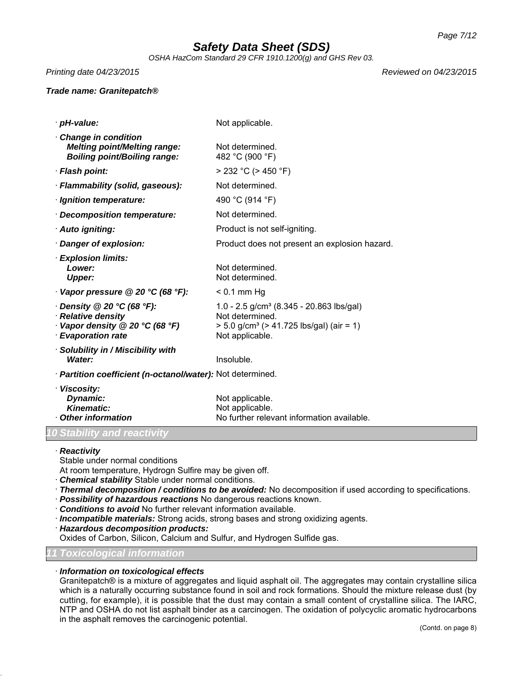*OSHA HazCom Standard 29 CFR 1910.1200(g) and GHS Rev 03.*

*Printing date 04/23/2015 Reviewed on 04/23/2015*

### *Trade name: Granitepatch®*

| · pH-value:                                                                                                                          | Not applicable.                                                                                                                                         |
|--------------------------------------------------------------------------------------------------------------------------------------|---------------------------------------------------------------------------------------------------------------------------------------------------------|
| <b>Change in condition</b><br><b>Melting point/Melting range:</b><br><b>Boiling point/Boiling range:</b>                             | Not determined.<br>482 °C (900 °F)                                                                                                                      |
| · Flash point:                                                                                                                       | $>$ 232 °C ( $>$ 450 °F)                                                                                                                                |
| · Flammability (solid, gaseous):                                                                                                     | Not determined.                                                                                                                                         |
| · Ignition temperature:                                                                                                              | 490 °C (914 °F)                                                                                                                                         |
| · Decomposition temperature:                                                                                                         | Not determined.                                                                                                                                         |
| · Auto igniting:                                                                                                                     | Product is not self-igniting.                                                                                                                           |
| Danger of explosion:                                                                                                                 | Product does not present an explosion hazard.                                                                                                           |
| <b>Explosion limits:</b><br>Lower:<br><b>Upper:</b>                                                                                  | Not determined.<br>Not determined.                                                                                                                      |
| Vapor pressure @ 20 °C (68 °F):                                                                                                      | $< 0.1$ mm Hg                                                                                                                                           |
| $\cdot$ Density @ 20 $\degree$ C (68 $\degree$ F):<br>· Relative density<br>Vapor density @ 20 °C (68 °F)<br><b>Evaporation rate</b> | 1.0 - 2.5 g/cm <sup>3</sup> (8.345 - 20.863 lbs/gal)<br>Not determined.<br>$> 5.0$ g/cm <sup>3</sup> ( $> 41.725$ lbs/gal) (air = 1)<br>Not applicable. |
| · Solubility in / Miscibility with<br>Water:                                                                                         | Insoluble.                                                                                                                                              |
| · Partition coefficient (n-octanol/water): Not determined.                                                                           |                                                                                                                                                         |
| · Viscosity:<br>Dynamic:<br><b>Kinematic:</b>                                                                                        | Not applicable.<br>Not applicable.                                                                                                                      |

• **Other information** No further relevant information available.

### *10 Stability and reactivity*

· *Reactivity*

Stable under normal conditions

At room temperature, Hydrogn Sulfire may be given off.

- · *Chemical stability* Stable under normal conditions.
- · *Thermal decomposition / conditions to be avoided:* No decomposition if used according to specifications.
- · *Possibility of hazardous reactions* No dangerous reactions known.
- · *Conditions to avoid* No further relevant information available.
- · *Incompatible materials:* Strong acids, strong bases and strong oxidizing agents.
- · *Hazardous decomposition products:*

Oxides of Carbon, Silicon, Calcium and Sulfur, and Hydrogen Sulfide gas.

## *11 Toxicological information*

### · *Information on toxicological effects*

Granitepatch® is a mixture of aggregates and liquid asphalt oil. The aggregates may contain crystalline silica which is a naturally occurring substance found in soil and rock formations. Should the mixture release dust (by cutting, for example), it is possible that the dust may contain a small content of crystalline silica. The IARC, NTP and OSHA do not list asphalt binder as a carcinogen. The oxidation of polycyclic aromatic hydrocarbons in the asphalt removes the carcinogenic potential.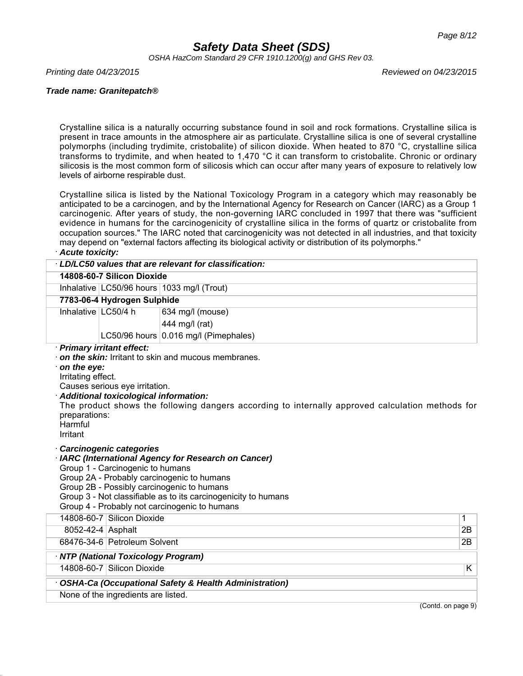*OSHA HazCom Standard 29 CFR 1910.1200(g) and GHS Rev 03.*

*Printing date 04/23/2015 Reviewed on 04/23/2015*

### *Trade name: Granitepatch®*

Crystalline silica is a naturally occurring substance found in soil and rock formations. Crystalline silica is present in trace amounts in the atmosphere air as particulate. Crystalline silica is one of several crystalline polymorphs (including trydimite, cristobalite) of silicon dioxide. When heated to 870 °C, crystalline silica transforms to trydimite, and when heated to 1,470 °C it can transform to cristobalite. Chronic or ordinary silicosis is the most common form of silicosis which can occur after many years of exposure to relatively low levels of airborne respirable dust.

Crystalline silica is listed by the National Toxicology Program in a category which may reasonably be anticipated to be a carcinogen, and by the International Agency for Research on Cancer (IARC) as a Group 1 carcinogenic. After years of study, the non-governing IARC concluded in 1997 that there was "sufficient evidence in humans for the carcinogenicity of crystalline silica in the forms of quartz or cristobalite from occupation sources." The IARC noted that carcinogenicity was not detected in all industries, and that toxicity may depend on "external factors affecting its biological activity or distribution of its polymorphs."

## · *Acute toxicity:*

|                                                                           |                                                                                                                                          | LD/LC50 values that are relevant for classification:                                                                                                                                                                                                                                                                                                                          |                    |
|---------------------------------------------------------------------------|------------------------------------------------------------------------------------------------------------------------------------------|-------------------------------------------------------------------------------------------------------------------------------------------------------------------------------------------------------------------------------------------------------------------------------------------------------------------------------------------------------------------------------|--------------------|
|                                                                           | 14808-60-7 Silicon Dioxide                                                                                                               |                                                                                                                                                                                                                                                                                                                                                                               |                    |
|                                                                           |                                                                                                                                          | Inhalative LC50/96 hours 1033 mg/l (Trout)                                                                                                                                                                                                                                                                                                                                    |                    |
|                                                                           | 7783-06-4 Hydrogen Sulphide                                                                                                              |                                                                                                                                                                                                                                                                                                                                                                               |                    |
| Inhalative LC50/4 h                                                       |                                                                                                                                          | 634 mg/l (mouse)                                                                                                                                                                                                                                                                                                                                                              |                    |
|                                                                           |                                                                                                                                          | 444 mg/l (rat)                                                                                                                                                                                                                                                                                                                                                                |                    |
|                                                                           |                                                                                                                                          | LC50/96 hours 0.016 mg/l (Pimephales)                                                                                                                                                                                                                                                                                                                                         |                    |
| on the eye:<br>Irritating effect.<br>preparations:<br>Harmful<br>Irritant | Causes serious eye irritation.<br>· Additional toxicological information:<br>Carcinogenic categories<br>Group 1 - Carcinogenic to humans | on the skin: Irritant to skin and mucous membranes.<br>The product shows the following dangers according to internally approved calculation methods for<br>· IARC (International Agency for Research on Cancer)<br>Group 2A - Probably carcinogenic to humans<br>Group 2B - Possibly carcinogenic to humans<br>Group 3 - Not classifiable as to its carcinogenicity to humans |                    |
|                                                                           | 14808-60-7 Silicon Dioxide                                                                                                               | Group 4 - Probably not carcinogenic to humans                                                                                                                                                                                                                                                                                                                                 | 1                  |
| 8052-42-4 Asphalt                                                         |                                                                                                                                          |                                                                                                                                                                                                                                                                                                                                                                               | 2B                 |
|                                                                           | 68476-34-6 Petroleum Solvent                                                                                                             |                                                                                                                                                                                                                                                                                                                                                                               | 2B                 |
|                                                                           |                                                                                                                                          |                                                                                                                                                                                                                                                                                                                                                                               |                    |
|                                                                           | · NTP (National Toxicology Program)<br>14808-60-7 Silicon Dioxide                                                                        |                                                                                                                                                                                                                                                                                                                                                                               | K                  |
|                                                                           |                                                                                                                                          |                                                                                                                                                                                                                                                                                                                                                                               |                    |
|                                                                           |                                                                                                                                          | · OSHA-Ca (Occupational Safety & Health Administration)                                                                                                                                                                                                                                                                                                                       |                    |
|                                                                           | None of the ingredients are listed.                                                                                                      |                                                                                                                                                                                                                                                                                                                                                                               | (Contd. on page 9) |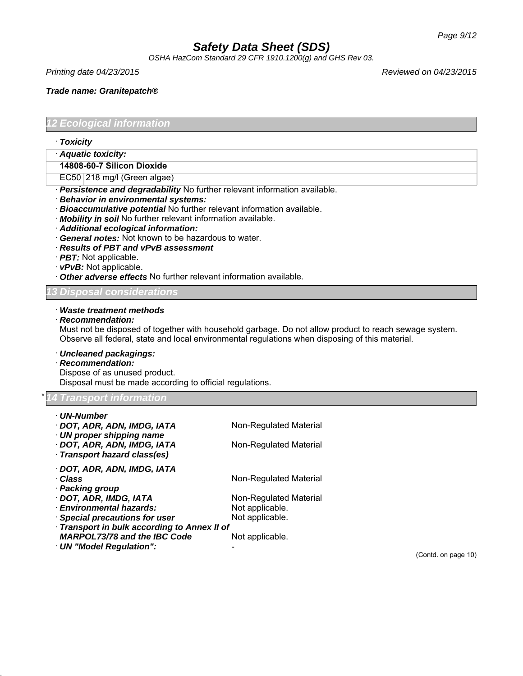*OSHA HazCom Standard 29 CFR 1910.1200(g) and GHS Rev 03.*

*Printing date 04/23/2015 Reviewed on 04/23/2015*

*Trade name: Granitepatch®*

*12 Ecological information*

- · *Toxicity*
- · *Aquatic toxicity:*
- **14808-60-7 Silicon Dioxide**
- EC50 218 mg/l (Green algae)
- · *Persistence and degradability* No further relevant information available.
- · *Behavior in environmental systems:*
- · *Bioaccumulative potential* No further relevant information available.
- · *Mobility in soil* No further relevant information available.
- · *Additional ecological information:*
- · *General notes:* Not known to be hazardous to water.
- · *Results of PBT and vPvB assessment*
- · *PBT:* Not applicable.
- · *vPvB:* Not applicable.
- · *Other adverse effects* No further relevant information available.

## *l considera*

### · *Waste treatment methods*

· *Recommendation:*

Must not be disposed of together with household garbage. Do not allow product to reach sewage system. Observe all federal, state and local environmental regulations when disposing of this material.

### · *Uncleaned packagings:*

### · *Recommendation:*

Dispose of as unused product.

Disposal must be made according to official regulations.

## \* *14 Transport information*

| ∙ UN-Number                                            |                        |                     |
|--------------------------------------------------------|------------------------|---------------------|
| · DOT, ADR, ADN, IMDG, IATA                            | Non-Regulated Material |                     |
| UN proper shipping name<br>· DOT, ADR, ADN, IMDG, IATA | Non-Regulated Material |                     |
| · Transport hazard class(es)                           |                        |                     |
| · DOT, ADR, ADN, IMDG, IATA                            |                        |                     |
| · Class                                                | Non-Regulated Material |                     |
| · Packing group                                        |                        |                     |
| · DOT, ADR, IMDG, IATA                                 | Non-Regulated Material |                     |
| · Environmental hazards:                               | Not applicable.        |                     |
| Special precautions for user                           | Not applicable.        |                     |
| Transport in bulk according to Annex II of             |                        |                     |
| <b>MARPOL73/78 and the IBC Code</b>                    | Not applicable.        |                     |
| · UN "Model Regulation":                               |                        |                     |
|                                                        |                        | (Contd. on page 10) |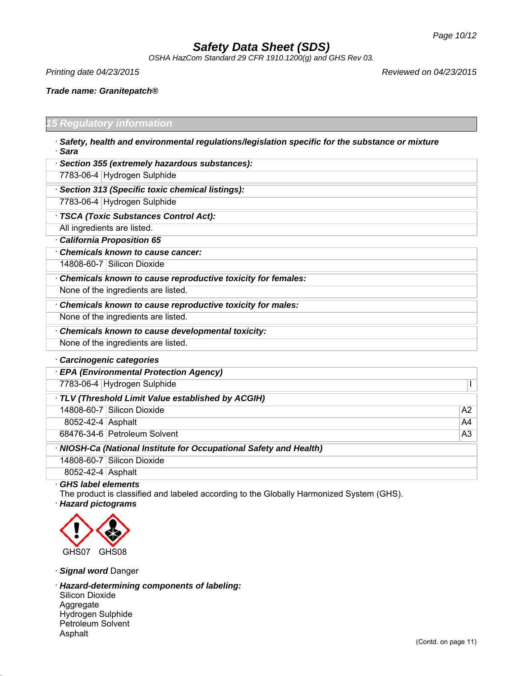*OSHA HazCom Standard 29 CFR 1910.1200(g) and GHS Rev 03.*

*Printing date 04/23/2015 Reviewed on 04/23/2015*

Г

*Trade name: Granitepatch®*

### *15 Regulatory information*

| Safety, health and environmental regulations/legislation specific for the substance or mixture |  |
|------------------------------------------------------------------------------------------------|--|
| · Sara                                                                                         |  |

| Section 355 (extremely hazardous substances):               |
|-------------------------------------------------------------|
| 7783-06-4 Hydrogen Sulphide                                 |
| Section 313 (Specific toxic chemical listings):             |
| 7783-06-4 Hydrogen Sulphide                                 |
| TSCA (Toxic Substances Control Act):                        |
| All ingredients are listed.                                 |
| California Proposition 65                                   |
| Chemicals known to cause cancer:                            |
| 14808-60-7 Silicon Dioxide                                  |
| Chemicals known to cause reproductive toxicity for females: |
| None of the ingredients are listed.                         |
| Chemicals known to cause reproductive toxicity for males:   |
| None of the ingredients are listed.                         |
| Chemicals known to cause developmental toxicity:            |
| None of the ingredients are listed.                         |
| <b>Carcinogenic categories</b>                              |

|                   | <b>EPA (Environmental Protection Agency)</b>                       |    |
|-------------------|--------------------------------------------------------------------|----|
|                   | 7783-06-4 Hydrogen Sulphide                                        |    |
|                   | TLV (Threshold Limit Value established by ACGIH)                   |    |
|                   | 14808-60-7 Silicon Dioxide                                         | A2 |
| 8052-42-4 Asphalt |                                                                    | A4 |
|                   | 68476-34-6 Petroleum Solvent                                       | A3 |
|                   | · NIOSH-Ca (National Institute for Occupational Safety and Health) |    |
|                   | 14808-60-7 Silicon Dioxide                                         |    |
| 8052-42-4 Asphalt |                                                                    |    |
|                   |                                                                    |    |

· *GHS label elements*

The product is classified and labeled according to the Globally Harmonized System (GHS).

· *Hazard pictograms*



· *Signal word* Danger

· *Hazard-determining components of labeling:* Silicon Dioxide Aggregate Hydrogen Sulphide Petroleum Solvent Asphalt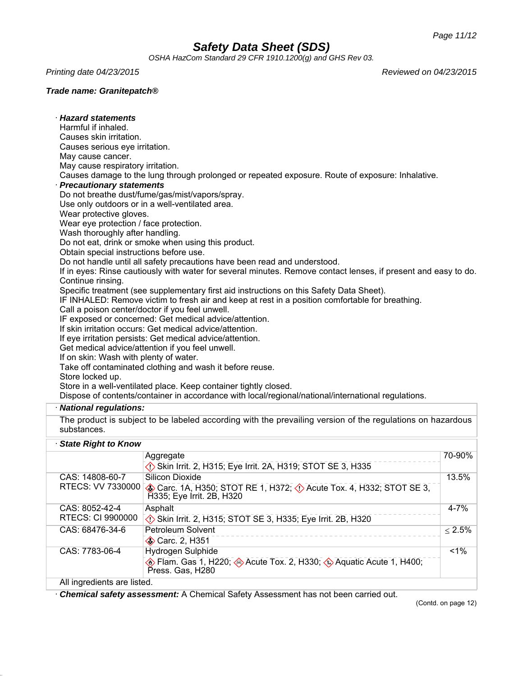*OSHA HazCom Standard 29 CFR 1910.1200(g) and GHS Rev 03.*

*Printing date 04/23/2015 Reviewed on 04/23/2015*

· *Hazard statements*

## *Trade name: Granitepatch®*

| Harmful if inhaled.                                                       |                                                                                                                |              |
|---------------------------------------------------------------------------|----------------------------------------------------------------------------------------------------------------|--------------|
| Causes skin irritation.                                                   |                                                                                                                |              |
| Causes serious eye irritation.                                            |                                                                                                                |              |
| May cause cancer.                                                         |                                                                                                                |              |
| May cause respiratory irritation.                                         |                                                                                                                |              |
|                                                                           | Causes damage to the lung through prolonged or repeated exposure. Route of exposure: Inhalative.               |              |
| · Precautionary statements                                                |                                                                                                                |              |
|                                                                           | Do not breathe dust/fume/gas/mist/vapors/spray.                                                                |              |
|                                                                           | Use only outdoors or in a well-ventilated area.                                                                |              |
| Wear protective gloves.                                                   |                                                                                                                |              |
| Wear eye protection / face protection.<br>Wash thoroughly after handling. |                                                                                                                |              |
|                                                                           | Do not eat, drink or smoke when using this product.                                                            |              |
| Obtain special instructions before use.                                   |                                                                                                                |              |
|                                                                           | Do not handle until all safety precautions have been read and understood.                                      |              |
|                                                                           | If in eyes: Rinse cautiously with water for several minutes. Remove contact lenses, if present and easy to do. |              |
| Continue rinsing.                                                         |                                                                                                                |              |
|                                                                           | Specific treatment (see supplementary first aid instructions on this Safety Data Sheet).                       |              |
|                                                                           | IF INHALED: Remove victim to fresh air and keep at rest in a position comfortable for breathing.               |              |
|                                                                           | Call a poison center/doctor if you feel unwell.                                                                |              |
|                                                                           | IF exposed or concerned: Get medical advice/attention.                                                         |              |
|                                                                           | If skin irritation occurs: Get medical advice/attention.                                                       |              |
|                                                                           | If eye irritation persists: Get medical advice/attention.                                                      |              |
|                                                                           | Get medical advice/attention if you feel unwell.                                                               |              |
| If on skin: Wash with plenty of water.                                    |                                                                                                                |              |
|                                                                           | Take off contaminated clothing and wash it before reuse.                                                       |              |
| Store locked up.                                                          |                                                                                                                |              |
|                                                                           | Store in a well-ventilated place. Keep container tightly closed.                                               |              |
|                                                                           | Dispose of contents/container in accordance with local/regional/national/international regulations.            |              |
| · National regulations:                                                   |                                                                                                                |              |
|                                                                           | The product is subject to be labeled according with the prevailing version of the regulations on hazardous     |              |
| substances.                                                               |                                                                                                                |              |
| State Right to Know                                                       |                                                                                                                |              |
|                                                                           |                                                                                                                | 70-90%       |
|                                                                           | Aggregate                                                                                                      |              |
|                                                                           | Skin Irrit. 2, H315; Eye Irrit. 2A, H319; STOT SE 3, H335                                                      |              |
| CAS: 14808-60-7                                                           | <b>Silicon Dioxide</b>                                                                                         | 13.5%        |
| RTECS: VV 7330000                                                         | Carc. 1A, H350; STOT RE 1, H372; $\Diamond$ Acute Tox. 4, H332; STOT SE 3,                                     |              |
|                                                                           | H335; Eye Irrit. 2B, H320                                                                                      |              |
| CAS: 8052-42-4                                                            | Asphalt                                                                                                        | $4 - 7%$     |
| <b>RTECS: CI 9900000</b>                                                  | Skin Irrit. 2, H315; STOT SE 3, H335; Eye Irrit. 2B, H320                                                      |              |
| CAS: 68476-34-6                                                           | <b>Petroleum Solvent</b>                                                                                       | $\leq 2.5\%$ |
|                                                                           | Carc. 2, H351                                                                                                  |              |
| CAS: 7783-06-4                                                            | Hydrogen Sulphide                                                                                              | 1%           |
|                                                                           | <b>Elam.</b> Gas 1, H220; <b>Acute Tox. 2, H330; 4 Aquatic Acute 1, H400;</b> 4                                |              |
|                                                                           | Press. Gas, H280                                                                                               |              |
| All ingredients are listed.                                               |                                                                                                                |              |

· *Chemical safety assessment:* A Chemical Safety Assessment has not been carried out.